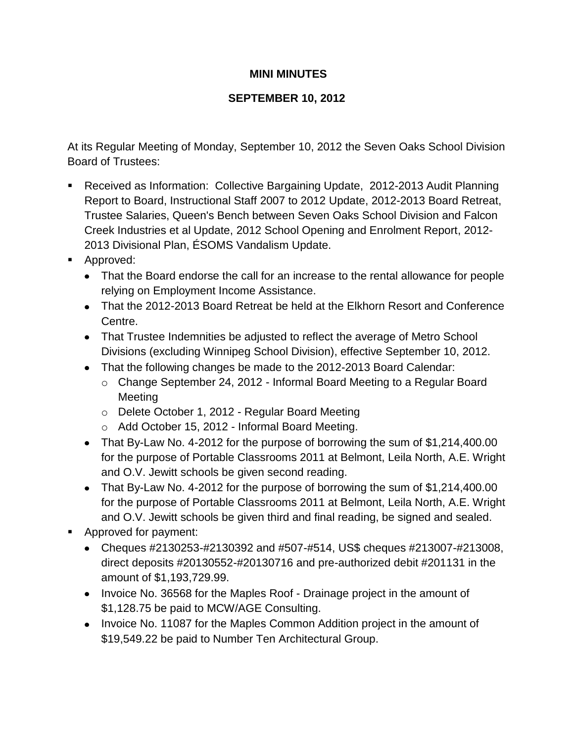## **MINI MINUTES**

## **SEPTEMBER 10, 2012**

At its Regular Meeting of Monday, September 10, 2012 the Seven Oaks School Division Board of Trustees:

- Received as Information: Collective Bargaining Update, 2012-2013 Audit Planning Report to Board, Instructional Staff 2007 to 2012 Update, 2012-2013 Board Retreat, Trustee Salaries, Queen's Bench between Seven Oaks School Division and Falcon Creek Industries et al Update, 2012 School Opening and Enrolment Report, 2012- 2013 Divisional Plan, ÉSOMS Vandalism Update.
- **Approved:** 
	- That the Board endorse the call for an increase to the rental allowance for people relying on Employment Income Assistance.
	- That the 2012-2013 Board Retreat be held at the Elkhorn Resort and Conference Centre.
	- That Trustee Indemnities be adjusted to reflect the average of Metro School Divisions (excluding Winnipeg School Division), effective September 10, 2012.
	- That the following changes be made to the 2012-2013 Board Calendar:
		- o Change September 24, 2012 Informal Board Meeting to a Regular Board Meeting
		- o Delete October 1, 2012 Regular Board Meeting
		- o Add October 15, 2012 Informal Board Meeting.
	- That By-Law No. 4-2012 for the purpose of borrowing the sum of \$1,214,400.00 for the purpose of Portable Classrooms 2011 at Belmont, Leila North, A.E. Wright and O.V. Jewitt schools be given second reading.
	- That By-Law No. 4-2012 for the purpose of borrowing the sum of \$1,214,400.00 for the purpose of Portable Classrooms 2011 at Belmont, Leila North, A.E. Wright and O.V. Jewitt schools be given third and final reading, be signed and sealed.
- **Approved for payment:** 
	- Cheques #2130253-#2130392 and #507-#514, US\$ cheques #213007-#213008, direct deposits #20130552-#20130716 and pre-authorized debit #201131 in the amount of \$1,193,729.99.
	- Invoice No. 36568 for the Maples Roof Drainage project in the amount of \$1,128.75 be paid to MCW/AGE Consulting.
	- Invoice No. 11087 for the Maples Common Addition project in the amount of \$19,549.22 be paid to Number Ten Architectural Group.